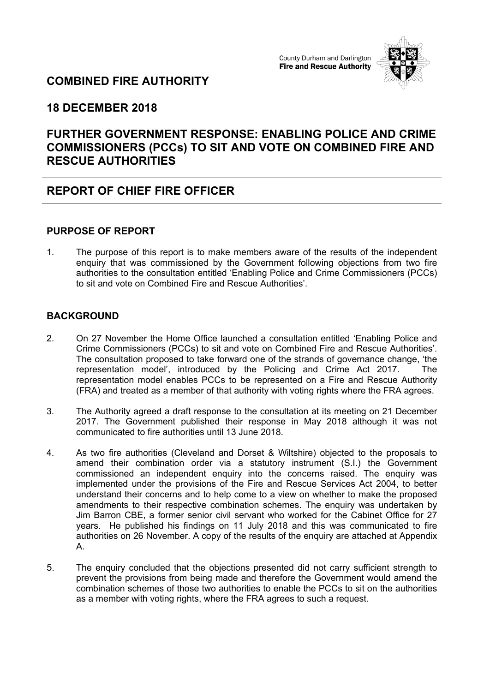#### County Durham and Darlington **Fire and Rescue Authority**



# **COMBINED FIRE AUTHORITY**

### **18 DECEMBER 2018**

## **FURTHER GOVERNMENT RESPONSE: ENABLING POLICE AND CRIME COMMISSIONERS (PCCs) TO SIT AND VOTE ON COMBINED FIRE AND RESCUE AUTHORITIES**

## **REPORT OF CHIEF FIRE OFFICER**

#### **PURPOSE OF REPORT**

1. The purpose of this report is to make members aware of the results of the independent enquiry that was commissioned by the Government following objections from two fire authorities to the consultation entitled 'Enabling Police and Crime Commissioners (PCCs) to sit and vote on Combined Fire and Rescue Authorities'.

### **BACKGROUND**

- 2. On 27 November the Home Office launched a consultation entitled 'Enabling Police and Crime Commissioners (PCCs) to sit and vote on Combined Fire and Rescue Authorities'. The consultation proposed to take forward one of the strands of governance change, 'the representation model', introduced by the Policing and Crime Act 2017. The representation model enables PCCs to be represented on a Fire and Rescue Authority (FRA) and treated as a member of that authority with voting rights where the FRA agrees.
- 3. The Authority agreed a draft response to the consultation at its meeting on 21 December 2017. The Government published their response in May 2018 although it was not communicated to fire authorities until 13 June 2018.
- 4. As two fire authorities (Cleveland and Dorset & Wiltshire) objected to the proposals to amend their combination order via a statutory instrument (S.I.) the Government commissioned an independent enquiry into the concerns raised. The enquiry was implemented under the provisions of the Fire and Rescue Services Act 2004, to better understand their concerns and to help come to a view on whether to make the proposed amendments to their respective combination schemes. The enquiry was undertaken by Jim Barron CBE, a former senior civil servant who worked for the Cabinet Office for 27 years. He published his findings on 11 July 2018 and this was communicated to fire authorities on 26 November. A copy of the results of the enquiry are attached at Appendix A.
- 5. The enquiry concluded that the objections presented did not carry sufficient strength to prevent the provisions from being made and therefore the Government would amend the combination schemes of those two authorities to enable the PCCs to sit on the authorities as a member with voting rights, where the FRA agrees to such a request.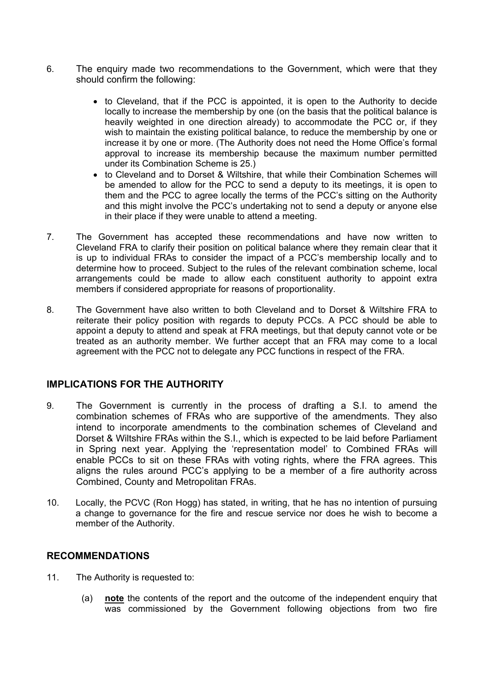- 6. The enquiry made two recommendations to the Government, which were that they should confirm the following:
	- to Cleveland, that if the PCC is appointed, it is open to the Authority to decide locally to increase the membership by one (on the basis that the political balance is heavily weighted in one direction already) to accommodate the PCC or, if they wish to maintain the existing political balance, to reduce the membership by one or increase it by one or more. (The Authority does not need the Home Office's formal approval to increase its membership because the maximum number permitted under its Combination Scheme is 25.)
	- to Cleveland and to Dorset & Wiltshire, that while their Combination Schemes will be amended to allow for the PCC to send a deputy to its meetings, it is open to them and the PCC to agree locally the terms of the PCC's sitting on the Authority and this might involve the PCC's undertaking not to send a deputy or anyone else in their place if they were unable to attend a meeting.
- 7. The Government has accepted these recommendations and have now written to Cleveland FRA to clarify their position on political balance where they remain clear that it is up to individual FRAs to consider the impact of a PCC's membership locally and to determine how to proceed. Subject to the rules of the relevant combination scheme, local arrangements could be made to allow each constituent authority to appoint extra members if considered appropriate for reasons of proportionality.
- 8. The Government have also written to both Cleveland and to Dorset & Wiltshire FRA to reiterate their policy position with regards to deputy PCCs. A PCC should be able to appoint a deputy to attend and speak at FRA meetings, but that deputy cannot vote or be treated as an authority member. We further accept that an FRA may come to a local agreement with the PCC not to delegate any PCC functions in respect of the FRA.

#### **IMPLICATIONS FOR THE AUTHORITY**

- 9. The Government is currently in the process of drafting a S.I. to amend the combination schemes of FRAs who are supportive of the amendments. They also intend to incorporate amendments to the combination schemes of Cleveland and Dorset & Wiltshire FRAs within the S.I., which is expected to be laid before Parliament in Spring next year. Applying the 'representation model' to Combined FRAs will enable PCCs to sit on these FRAs with voting rights, where the FRA agrees. This aligns the rules around PCC's applying to be a member of a fire authority across Combined, County and Metropolitan FRAs.
- 10. Locally, the PCVC (Ron Hogg) has stated, in writing, that he has no intention of pursuing a change to governance for the fire and rescue service nor does he wish to become a member of the Authority.

#### **RECOMMENDATIONS**

- 11. The Authority is requested to:
	- (a) **note** the contents of the report and the outcome of the independent enquiry that was commissioned by the Government following objections from two fire